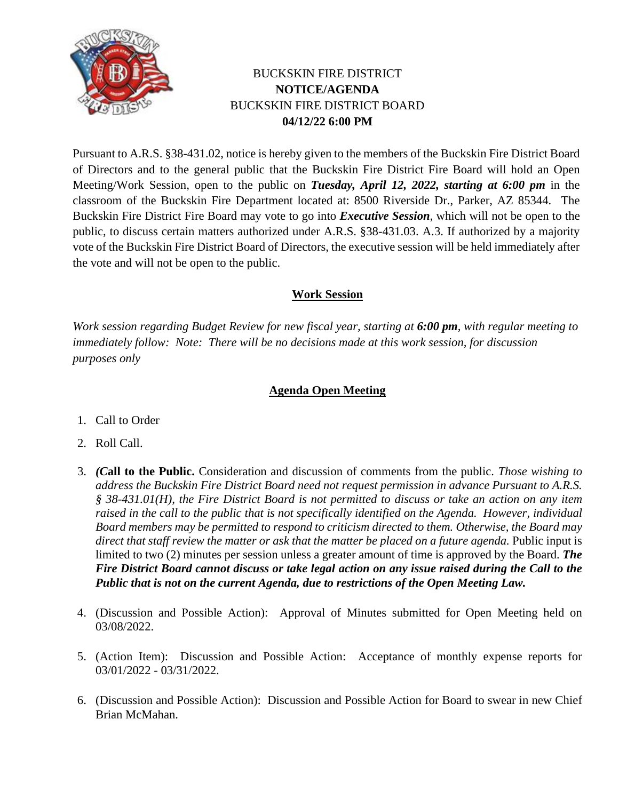

## BUCKSKIN FIRE DISTRICT **NOTICE/AGENDA** BUCKSKIN FIRE DISTRICT BOARD **04/12/22 6:00 PM**

Pursuant to A.R.S. §38-431.02, notice is hereby given to the members of the Buckskin Fire District Board of Directors and to the general public that the Buckskin Fire District Fire Board will hold an Open Meeting/Work Session, open to the public on *Tuesday, April 12, 2022, starting at 6:00 pm* in the classroom of the Buckskin Fire Department located at: 8500 Riverside Dr., Parker, AZ 85344. The Buckskin Fire District Fire Board may vote to go into *Executive Session*, which will not be open to the public, to discuss certain matters authorized under A.R.S. §38-431.03. A.3. If authorized by a majority vote of the Buckskin Fire District Board of Directors, the executive session will be held immediately after the vote and will not be open to the public.

## **Work Session**

*Work session regarding Budget Review for new fiscal year, starting at 6:00 pm, with regular meeting to immediately follow: Note: There will be no decisions made at this work session, for discussion purposes only*

## **Agenda Open Meeting**

- 1. Call to Order
- 2. Roll Call.
- 3. *(C***all to the Public.** Consideration and discussion of comments from the public. *Those wishing to address the Buckskin Fire District Board need not request permission in advance Pursuant to A.R.S. § 38-431.01(H), the Fire District Board is not permitted to discuss or take an action on any item raised in the call to the public that is not specifically identified on the Agenda. However, individual Board members may be permitted to respond to criticism directed to them. Otherwise, the Board may*  direct that staff review the matter or ask that the matter be placed on a future agenda. Public input is limited to two (2) minutes per session unless a greater amount of time is approved by the Board. *The Fire District Board cannot discuss or take legal action on any issue raised during the Call to the Public that is not on the current Agenda, due to restrictions of the Open Meeting Law.*
- 4. (Discussion and Possible Action): Approval of Minutes submitted for Open Meeting held on 03/08/2022.
- 5. (Action Item): Discussion and Possible Action: Acceptance of monthly expense reports for 03/01/2022 - 03/31/2022.
- 6. (Discussion and Possible Action): Discussion and Possible Action for Board to swear in new Chief Brian McMahan.